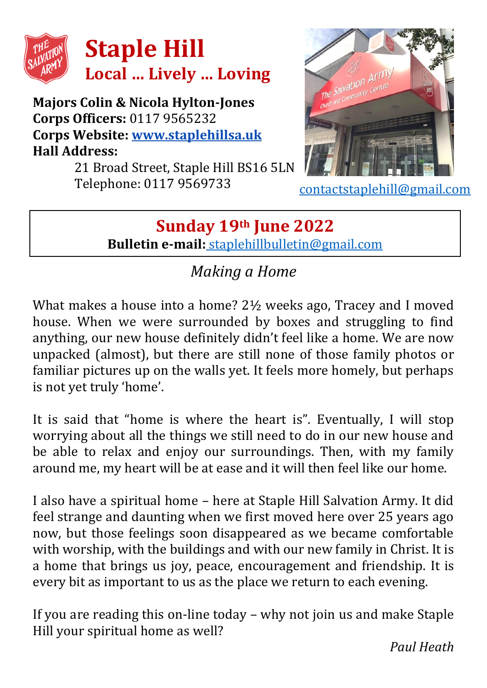

**Majors Colin & Nicola Hylton-Jones Corps Officers:** 0117 9565232 **Corps Website: [www.staplehillsa.uk](http://www.staplehillsa.uk/) Hall Address:**

21 Broad Street, Staple Hill BS16 5LN Telephone: 0117 9569733



[contactstaplehill@gmail.com](mailto:contactstaplehill@gmail.com)

## **Sunday 19th June 2022 Bulletin e-mail:** [staplehillbulletin@gmail.com](mailto:staplehillbulletin@gmail.com)

## *Making a Home*

What makes a house into a home? 2½ weeks ago, Tracey and I moved house. When we were surrounded by boxes and struggling to find anything, our new house definitely didn't feel like a home. We are now unpacked (almost), but there are still none of those family photos or familiar pictures up on the walls yet. It feels more homely, but perhaps is not yet truly 'home'.

It is said that "home is where the heart is". Eventually, I will stop worrying about all the things we still need to do in our new house and be able to relax and enjoy our surroundings. Then, with my family around me, my heart will be at ease and it will then feel like our home.

I also have a spiritual home – here at Staple Hill Salvation Army. It did feel strange and daunting when we first moved here over 25 years ago now, but those feelings soon disappeared as we became comfortable with worship, with the buildings and with our new family in Christ. It is a home that brings us joy, peace, encouragement and friendship. It is every bit as important to us as the place we return to each evening.

If you are reading this on-line today – why not join us and make Staple Hill your spiritual home as well?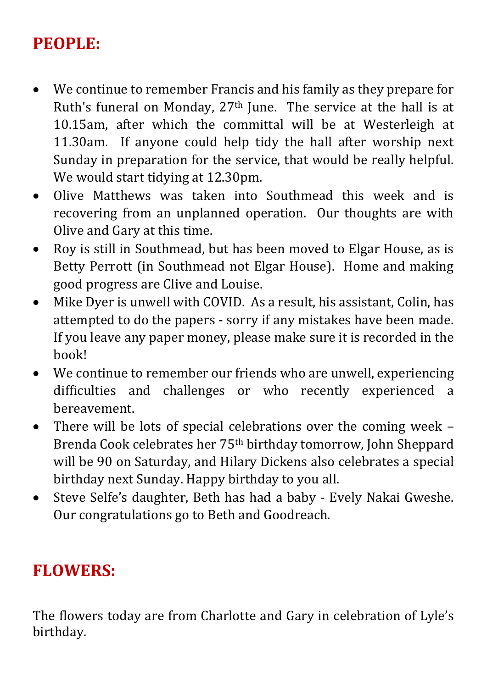# **PEOPLE:**

- We continue to remember Francis and his family as they prepare for Ruth's funeral on Monday, 27th June. The service at the hall is at 10.15am, after which the committal will be at Westerleigh at 11.30am. If anyone could help tidy the hall after worship next Sunday in preparation for the service, that would be really helpful. We would start tidying at 12.30pm.
- Olive Matthews was taken into Southmead this week and is recovering from an unplanned operation. Our thoughts are with Olive and Gary at this time.
- Roy is still in Southmead, but has been moved to Elgar House, as is Betty Perrott (in Southmead not Elgar House). Home and making good progress are Clive and Louise.
- Mike Dyer is unwell with COVID. As a result, his assistant, Colin, has attempted to do the papers - sorry if any mistakes have been made. If you leave any paper money, please make sure it is recorded in the book!
- We continue to remember our friends who are unwell, experiencing difficulties and challenges or who recently experienced a bereavement.
- There will be lots of special celebrations over the coming week Brenda Cook celebrates her 75th birthday tomorrow, John Sheppard will be 90 on Saturday, and Hilary Dickens also celebrates a special birthday next Sunday. Happy birthday to you all.
- Steve Selfe's daughter, Beth has had a baby Evely Nakai Gweshe. Our congratulations go to Beth and Goodreach.

#### **FLOWERS:**

The flowers today are from Charlotte and Gary in celebration of Lyle's birthday.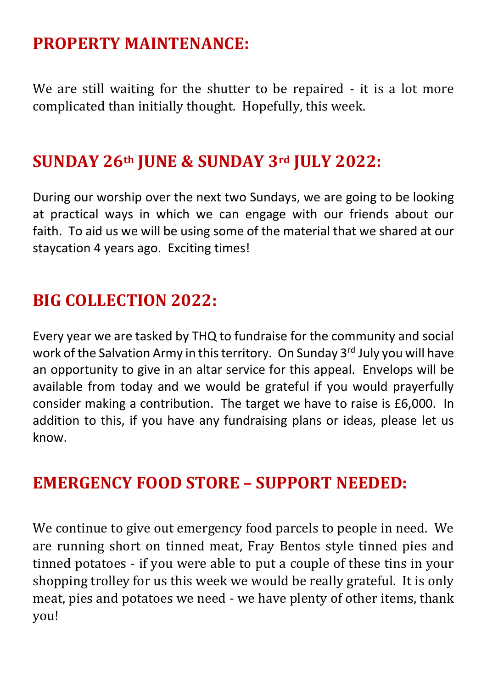#### **PROPERTY MAINTENANCE:**

We are still waiting for the shutter to be repaired - it is a lot more complicated than initially thought. Hopefully, this week.

#### **SUNDAY 26th JUNE & SUNDAY 3rd JULY 2022:**

During our worship over the next two Sundays, we are going to be looking at practical ways in which we can engage with our friends about our faith. To aid us we will be using some of the material that we shared at our staycation 4 years ago. Exciting times!

## **BIG COLLECTION 2022:**

Every year we are tasked by THQ to fundraise for the community and social work of the Salvation Army in this territory. On Sunday 3<sup>rd</sup> July you will have an opportunity to give in an altar service for this appeal. Envelops will be available from today and we would be grateful if you would prayerfully consider making a contribution. The target we have to raise is £6,000. In addition to this, if you have any fundraising plans or ideas, please let us know.

#### **EMERGENCY FOOD STORE – SUPPORT NEEDED:**

We continue to give out emergency food parcels to people in need. We are running short on tinned meat, Fray Bentos style tinned pies and tinned potatoes - if you were able to put a couple of these tins in your shopping trolley for us this week we would be really grateful. It is only meat, pies and potatoes we need - we have plenty of other items, thank you!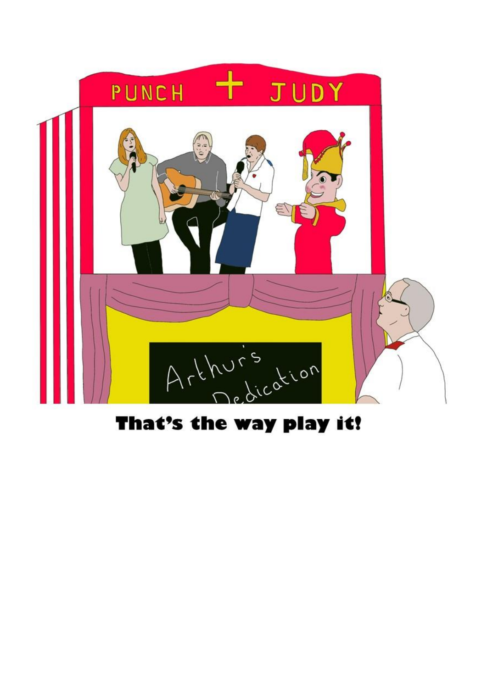

# That's the way play it!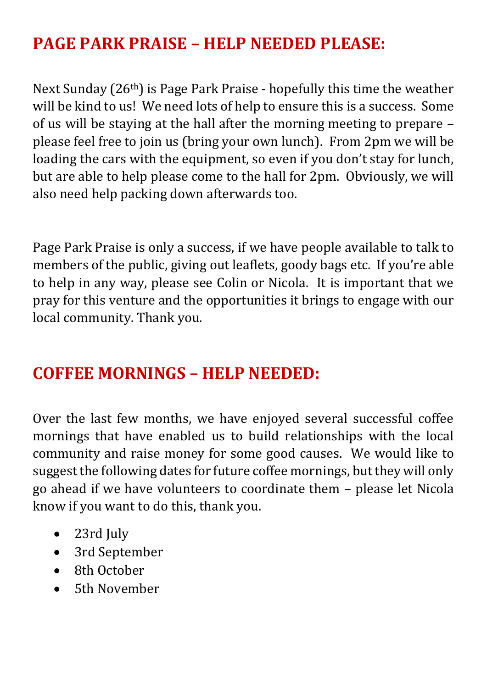# **PAGE PARK PRAISE – HELP NEEDED PLEASE:**

Next Sunday (26th) is Page Park Praise - hopefully this time the weather will be kind to us! We need lots of help to ensure this is a success. Some of us will be staying at the hall after the morning meeting to prepare – please feel free to join us (bring your own lunch). From 2pm we will be loading the cars with the equipment, so even if you don't stay for lunch, but are able to help please come to the hall for 2pm. Obviously, we will also need help packing down afterwards too.

Page Park Praise is only a success, if we have people available to talk to members of the public, giving out leaflets, goody bags etc. If you're able to help in any way, please see Colin or Nicola. It is important that we pray for this venture and the opportunities it brings to engage with our local community. Thank you.

#### **COFFEE MORNINGS – HELP NEEDED:**

Over the last few months, we have enjoyed several successful coffee mornings that have enabled us to build relationships with the local community and raise money for some good causes. We would like to suggest the following dates for future coffee mornings, but they will only go ahead if we have volunteers to coordinate them – please let Nicola know if you want to do this, thank you.

- 23rd July
- 3rd September
- 8th October
- 5th November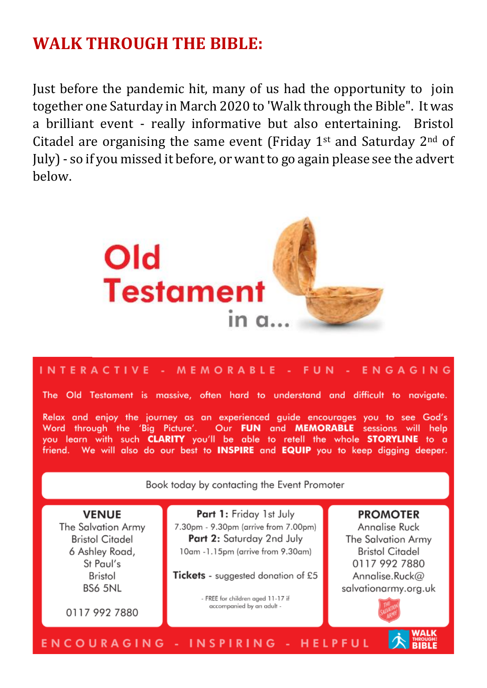#### **WALK THROUGH THE RIRLE:**

Just before the pandemic hit, many of us had the opportunity to join together one Saturday in March 2020 to 'Walk through the Bible". It was a brilliant event - really informative but also entertaining. Bristol Citadel are organising the same event (Friday  $1<sup>st</sup>$  and Saturday  $2<sup>nd</sup>$  of July) - so if you missed it before, or want to go again please see the advert helow



#### INTERACTIVE - MEMORABLE -**FUN** ENGAGING

The Old Testament is massive, often hard to understand and difficult to navigate.

Relax and enjoy the journey as an experienced guide encourages you to see God's Word through the 'Big Picture'. Our FUN and MEMORABLE sessions will help you learn with such CLARITY you'll be able to retell the whole STORYLINE to a friend. We will also do our best to **INSPIRE** and **EQUIP** you to keep diaging deeper.

Book today by contacting the Event Promoter

**VENUE** The Salvation Army **Bristol Citadel** 6 Ashley Road, St Paul's Bristol **BS6 5NL** 

0117 992 7880

Part 1: Friday 1st July 7.30pm - 9.30pm (arrive from 7.00pm) Part 2: Saturday 2nd July 10am -1.15pm (arrive from 9.30am)

Tickets - suggested donation of £5

- FREE for children aged 11-17 if accompanied by an adult -

#### **PROMOTER**

Annalise Ruck The Salvation Army **Bristol Citadel** 0117 992 7880 Annalise.Ruck@ salvationarmy.org.uk



#### **ENCOURAGING - INSPIRING - HELPFUL**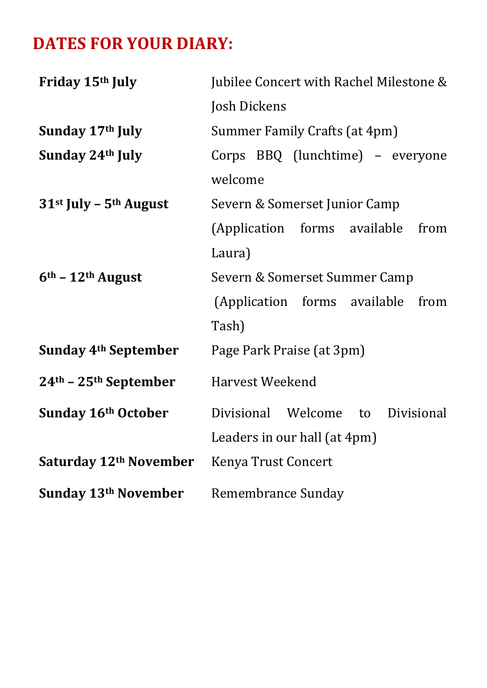# **DATES FOR YOUR DIARY:**

| Friday 15th July                 | Jubilee Concert with Rachel Milestone & |
|----------------------------------|-----------------------------------------|
|                                  | Josh Dickens                            |
| Sunday 17th July                 | Summer Family Crafts (at 4pm)           |
| Sunday 24th July                 | Corps BBQ (lunchtime) - everyone        |
|                                  | welcome                                 |
| $31st$ July – $5th$ August       | Severn & Somerset Junior Camp           |
|                                  | (Application forms available<br>from    |
|                                  | Laura)                                  |
| $6th$ – 12 <sup>th</sup> August  | Severn & Somerset Summer Camp           |
|                                  | (Application forms available<br>from    |
|                                  | Tash)                                   |
| Sunday 4 <sup>th</sup> September | Page Park Praise (at 3pm)               |
| $24th - 25th$ September          | Harvest Weekend                         |
| Sunday 16th October              | Divisional Welcome to<br>Divisional     |
|                                  | Leaders in our hall (at 4pm)            |
| Saturday 12th November           | Kenya Trust Concert                     |
| Sunday 13th November             | Remembrance Sunday                      |